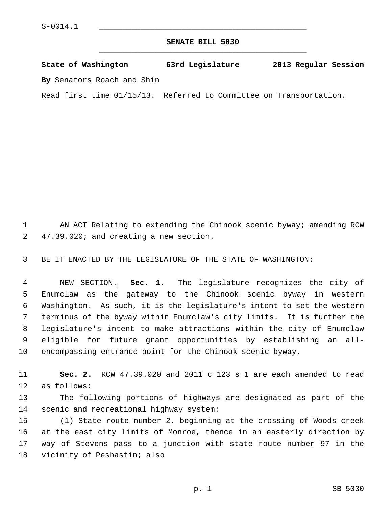## **SENATE BILL 5030** \_\_\_\_\_\_\_\_\_\_\_\_\_\_\_\_\_\_\_\_\_\_\_\_\_\_\_\_\_\_\_\_\_\_\_\_\_\_\_\_\_\_\_\_\_

**State of Washington 63rd Legislature 2013 Regular Session By** Senators Roach and Shin

Read first time 01/15/13. Referred to Committee on Transportation.

 1 AN ACT Relating to extending the Chinook scenic byway; amending RCW 2 47.39.020; and creating a new section.

3 BE IT ENACTED BY THE LEGISLATURE OF THE STATE OF WASHINGTON:

 4 NEW SECTION. **Sec. 1.** The legislature recognizes the city of 5 Enumclaw as the gateway to the Chinook scenic byway in western 6 Washington. As such, it is the legislature's intent to set the western 7 terminus of the byway within Enumclaw's city limits. It is further the 8 legislature's intent to make attractions within the city of Enumclaw 9 eligible for future grant opportunities by establishing an all-10 encompassing entrance point for the Chinook scenic byway.

11 **Sec. 2.** RCW 47.39.020 and 2011 c 123 s 1 are each amended to read 12 as follows:

13 The following portions of highways are designated as part of the 14 scenic and recreational highway system:

15 (1) State route number 2, beginning at the crossing of Woods creek 16 at the east city limits of Monroe, thence in an easterly direction by 17 way of Stevens pass to a junction with state route number 97 in the 18 vicinity of Peshastin; also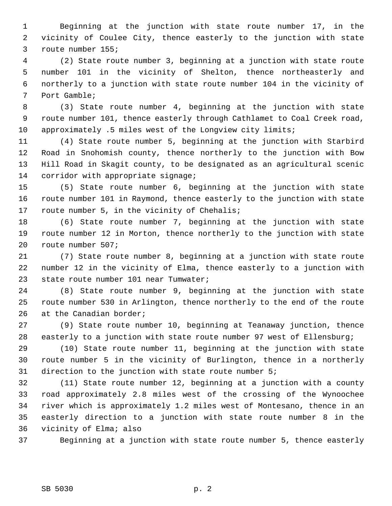1 Beginning at the junction with state route number 17, in the 2 vicinity of Coulee City, thence easterly to the junction with state 3 route number 155;

 4 (2) State route number 3, beginning at a junction with state route 5 number 101 in the vicinity of Shelton, thence northeasterly and 6 northerly to a junction with state route number 104 in the vicinity of 7 Port Gamble;

 8 (3) State route number 4, beginning at the junction with state 9 route number 101, thence easterly through Cathlamet to Coal Creek road, 10 approximately .5 miles west of the Longview city limits;

11 (4) State route number 5, beginning at the junction with Starbird 12 Road in Snohomish county, thence northerly to the junction with Bow 13 Hill Road in Skagit county, to be designated as an agricultural scenic 14 corridor with appropriate signage;

15 (5) State route number 6, beginning at the junction with state 16 route number 101 in Raymond, thence easterly to the junction with state 17 route number 5, in the vicinity of Chehalis;

18 (6) State route number 7, beginning at the junction with state 19 route number 12 in Morton, thence northerly to the junction with state 20 route number 507;

21 (7) State route number 8, beginning at a junction with state route 22 number 12 in the vicinity of Elma, thence easterly to a junction with 23 state route number 101 near Tumwater;

24 (8) State route number 9, beginning at the junction with state 25 route number 530 in Arlington, thence northerly to the end of the route 26 at the Canadian border;

27 (9) State route number 10, beginning at Teanaway junction, thence 28 easterly to a junction with state route number 97 west of Ellensburg;

29 (10) State route number 11, beginning at the junction with state 30 route number 5 in the vicinity of Burlington, thence in a northerly 31 direction to the junction with state route number 5;

32 (11) State route number 12, beginning at a junction with a county 33 road approximately 2.8 miles west of the crossing of the Wynoochee 34 river which is approximately 1.2 miles west of Montesano, thence in an 35 easterly direction to a junction with state route number 8 in the 36 vicinity of Elma; also

37 Beginning at a junction with state route number 5, thence easterly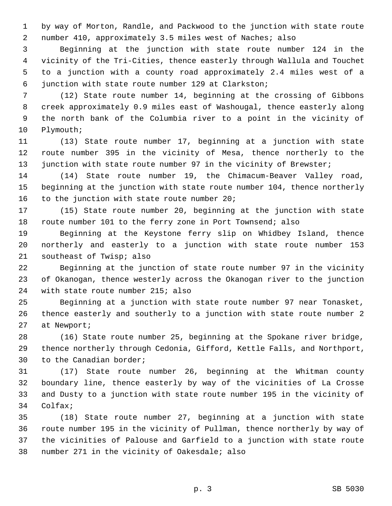1 by way of Morton, Randle, and Packwood to the junction with state route 2 number 410, approximately 3.5 miles west of Naches; also

 3 Beginning at the junction with state route number 124 in the 4 vicinity of the Tri-Cities, thence easterly through Wallula and Touchet 5 to a junction with a county road approximately 2.4 miles west of a 6 junction with state route number 129 at Clarkston;

 7 (12) State route number 14, beginning at the crossing of Gibbons 8 creek approximately 0.9 miles east of Washougal, thence easterly along 9 the north bank of the Columbia river to a point in the vicinity of 10 Plymouth;

11 (13) State route number 17, beginning at a junction with state 12 route number 395 in the vicinity of Mesa, thence northerly to the 13 junction with state route number 97 in the vicinity of Brewster;

14 (14) State route number 19, the Chimacum-Beaver Valley road, 15 beginning at the junction with state route number 104, thence northerly 16 to the junction with state route number 20;

17 (15) State route number 20, beginning at the junction with state 18 route number 101 to the ferry zone in Port Townsend; also

19 Beginning at the Keystone ferry slip on Whidbey Island, thence 20 northerly and easterly to a junction with state route number 153 21 southeast of Twisp; also

22 Beginning at the junction of state route number 97 in the vicinity 23 of Okanogan, thence westerly across the Okanogan river to the junction 24 with state route number 215; also

25 Beginning at a junction with state route number 97 near Tonasket, 26 thence easterly and southerly to a junction with state route number 2 27 at Newport;

28 (16) State route number 25, beginning at the Spokane river bridge, 29 thence northerly through Cedonia, Gifford, Kettle Falls, and Northport, 30 to the Canadian border;

31 (17) State route number 26, beginning at the Whitman county 32 boundary line, thence easterly by way of the vicinities of La Crosse 33 and Dusty to a junction with state route number 195 in the vicinity of 34 Colfax;

35 (18) State route number 27, beginning at a junction with state 36 route number 195 in the vicinity of Pullman, thence northerly by way of 37 the vicinities of Palouse and Garfield to a junction with state route 38 number 271 in the vicinity of Oakesdale; also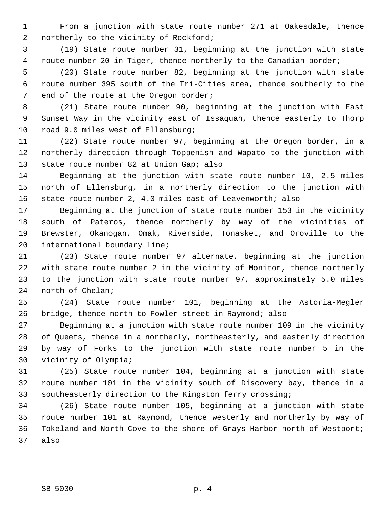1 From a junction with state route number 271 at Oakesdale, thence 2 northerly to the vicinity of Rockford;

 3 (19) State route number 31, beginning at the junction with state 4 route number 20 in Tiger, thence northerly to the Canadian border;

 5 (20) State route number 82, beginning at the junction with state 6 route number 395 south of the Tri-Cities area, thence southerly to the 7 end of the route at the Oregon border;

 8 (21) State route number 90, beginning at the junction with East 9 Sunset Way in the vicinity east of Issaquah, thence easterly to Thorp 10 road 9.0 miles west of Ellensburg;

11 (22) State route number 97, beginning at the Oregon border, in a 12 northerly direction through Toppenish and Wapato to the junction with 13 state route number 82 at Union Gap; also

14 Beginning at the junction with state route number 10, 2.5 miles 15 north of Ellensburg, in a northerly direction to the junction with 16 state route number 2, 4.0 miles east of Leavenworth; also

17 Beginning at the junction of state route number 153 in the vicinity 18 south of Pateros, thence northerly by way of the vicinities of 19 Brewster, Okanogan, Omak, Riverside, Tonasket, and Oroville to the 20 international boundary line;

21 (23) State route number 97 alternate, beginning at the junction 22 with state route number 2 in the vicinity of Monitor, thence northerly 23 to the junction with state route number 97, approximately 5.0 miles 24 north of Chelan;

25 (24) State route number 101, beginning at the Astoria-Megler 26 bridge, thence north to Fowler street in Raymond; also

27 Beginning at a junction with state route number 109 in the vicinity 28 of Queets, thence in a northerly, northeasterly, and easterly direction 29 by way of Forks to the junction with state route number 5 in the 30 vicinity of Olympia;

31 (25) State route number 104, beginning at a junction with state 32 route number 101 in the vicinity south of Discovery bay, thence in a 33 southeasterly direction to the Kingston ferry crossing;

34 (26) State route number 105, beginning at a junction with state 35 route number 101 at Raymond, thence westerly and northerly by way of 36 Tokeland and North Cove to the shore of Grays Harbor north of Westport; 37 also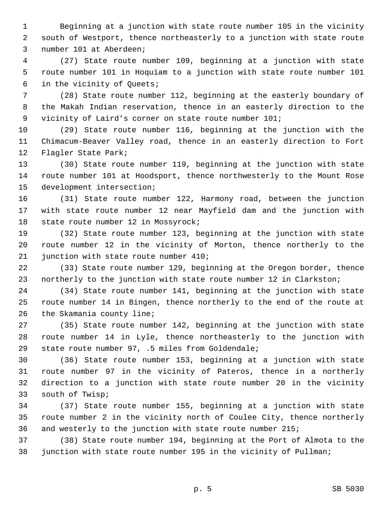1 Beginning at a junction with state route number 105 in the vicinity 2 south of Westport, thence northeasterly to a junction with state route 3 number 101 at Aberdeen;

 4 (27) State route number 109, beginning at a junction with state 5 route number 101 in Hoquiam to a junction with state route number 101 6 in the vicinity of Queets;

 7 (28) State route number 112, beginning at the easterly boundary of 8 the Makah Indian reservation, thence in an easterly direction to the 9 vicinity of Laird's corner on state route number 101;

10 (29) State route number 116, beginning at the junction with the 11 Chimacum-Beaver Valley road, thence in an easterly direction to Fort 12 Flagler State Park;

13 (30) State route number 119, beginning at the junction with state 14 route number 101 at Hoodsport, thence northwesterly to the Mount Rose 15 development intersection;

16 (31) State route number 122, Harmony road, between the junction 17 with state route number 12 near Mayfield dam and the junction with 18 state route number 12 in Mossyrock;

19 (32) State route number 123, beginning at the junction with state 20 route number 12 in the vicinity of Morton, thence northerly to the 21 junction with state route number 410;

22 (33) State route number 129, beginning at the Oregon border, thence 23 northerly to the junction with state route number 12 in Clarkston;

24 (34) State route number 141, beginning at the junction with state 25 route number 14 in Bingen, thence northerly to the end of the route at 26 the Skamania county line;

27 (35) State route number 142, beginning at the junction with state 28 route number 14 in Lyle, thence northeasterly to the junction with 29 state route number 97, .5 miles from Goldendale;

30 (36) State route number 153, beginning at a junction with state 31 route number 97 in the vicinity of Pateros, thence in a northerly 32 direction to a junction with state route number 20 in the vicinity 33 south of Twisp;

34 (37) State route number 155, beginning at a junction with state 35 route number 2 in the vicinity north of Coulee City, thence northerly 36 and westerly to the junction with state route number 215;

37 (38) State route number 194, beginning at the Port of Almota to the 38 junction with state route number 195 in the vicinity of Pullman;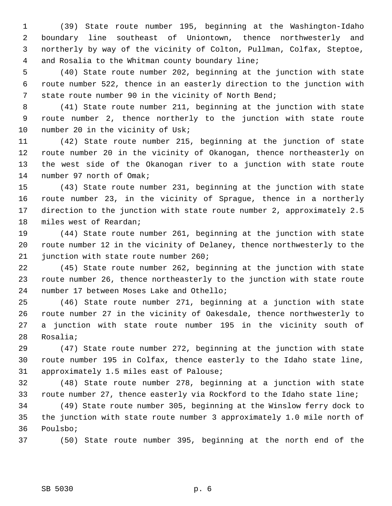1 (39) State route number 195, beginning at the Washington-Idaho 2 boundary line southeast of Uniontown, thence northwesterly and 3 northerly by way of the vicinity of Colton, Pullman, Colfax, Steptoe, 4 and Rosalia to the Whitman county boundary line;

 5 (40) State route number 202, beginning at the junction with state 6 route number 522, thence in an easterly direction to the junction with 7 state route number 90 in the vicinity of North Bend;

 8 (41) State route number 211, beginning at the junction with state 9 route number 2, thence northerly to the junction with state route 10 number 20 in the vicinity of Usk;

11 (42) State route number 215, beginning at the junction of state 12 route number 20 in the vicinity of Okanogan, thence northeasterly on 13 the west side of the Okanogan river to a junction with state route 14 number 97 north of Omak;

15 (43) State route number 231, beginning at the junction with state 16 route number 23, in the vicinity of Sprague, thence in a northerly 17 direction to the junction with state route number 2, approximately 2.5 18 miles west of Reardan;

19 (44) State route number 261, beginning at the junction with state 20 route number 12 in the vicinity of Delaney, thence northwesterly to the 21 junction with state route number 260;

22 (45) State route number 262, beginning at the junction with state 23 route number 26, thence northeasterly to the junction with state route 24 number 17 between Moses Lake and Othello;

25 (46) State route number 271, beginning at a junction with state 26 route number 27 in the vicinity of Oakesdale, thence northwesterly to 27 a junction with state route number 195 in the vicinity south of 28 Rosalia;

29 (47) State route number 272, beginning at the junction with state 30 route number 195 in Colfax, thence easterly to the Idaho state line, 31 approximately 1.5 miles east of Palouse;

32 (48) State route number 278, beginning at a junction with state 33 route number 27, thence easterly via Rockford to the Idaho state line;

34 (49) State route number 305, beginning at the Winslow ferry dock to 35 the junction with state route number 3 approximately 1.0 mile north of 36 Poulsbo;

37 (50) State route number 395, beginning at the north end of the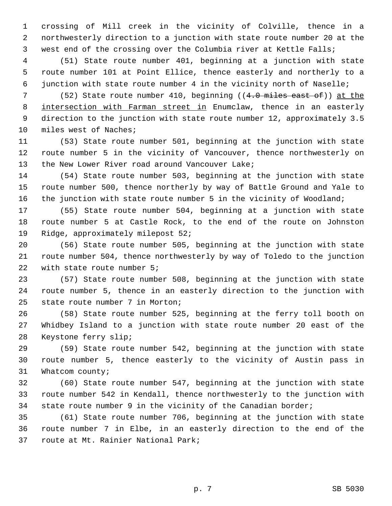1 crossing of Mill creek in the vicinity of Colville, thence in a 2 northwesterly direction to a junction with state route number 20 at the 3 west end of the crossing over the Columbia river at Kettle Falls;

 4 (51) State route number 401, beginning at a junction with state 5 route number 101 at Point Ellice, thence easterly and northerly to a 6 junction with state route number 4 in the vicinity north of Naselle;

7 (52) State route number 410, beginning  $((4.0 \text{ miles east of}))$  at the 8 intersection with Farman street in Enumclaw, thence in an easterly 9 direction to the junction with state route number 12, approximately 3.5 10 miles west of Naches;

11 (53) State route number 501, beginning at the junction with state 12 route number 5 in the vicinity of Vancouver, thence northwesterly on 13 the New Lower River road around Vancouver Lake;

14 (54) State route number 503, beginning at the junction with state 15 route number 500, thence northerly by way of Battle Ground and Yale to 16 the junction with state route number 5 in the vicinity of Woodland;

17 (55) State route number 504, beginning at a junction with state 18 route number 5 at Castle Rock, to the end of the route on Johnston 19 Ridge, approximately milepost 52;

20 (56) State route number 505, beginning at the junction with state 21 route number 504, thence northwesterly by way of Toledo to the junction 22 with state route number 5;

23 (57) State route number 508, beginning at the junction with state 24 route number 5, thence in an easterly direction to the junction with 25 state route number 7 in Morton;

26 (58) State route number 525, beginning at the ferry toll booth on 27 Whidbey Island to a junction with state route number 20 east of the 28 Keystone ferry slip;

29 (59) State route number 542, beginning at the junction with state 30 route number 5, thence easterly to the vicinity of Austin pass in 31 Whatcom county;

32 (60) State route number 547, beginning at the junction with state 33 route number 542 in Kendall, thence northwesterly to the junction with 34 state route number 9 in the vicinity of the Canadian border;

35 (61) State route number 706, beginning at the junction with state 36 route number 7 in Elbe, in an easterly direction to the end of the 37 route at Mt. Rainier National Park;